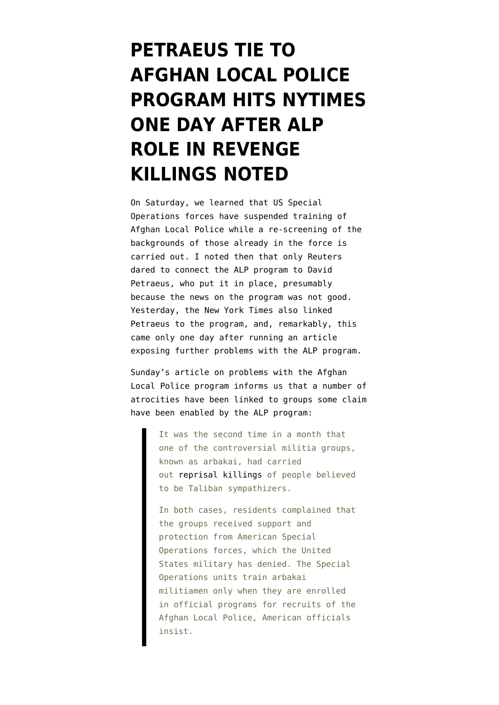## **[PETRAEUS TIE TO](https://www.emptywheel.net/2012/09/04/petraeus-tie-to-afghan-local-police-program-hits-nytimes-one-day-after-alp-role-in-revenge-killings-noted/) [AFGHAN LOCAL POLICE](https://www.emptywheel.net/2012/09/04/petraeus-tie-to-afghan-local-police-program-hits-nytimes-one-day-after-alp-role-in-revenge-killings-noted/) [PROGRAM HITS NYTIMES](https://www.emptywheel.net/2012/09/04/petraeus-tie-to-afghan-local-police-program-hits-nytimes-one-day-after-alp-role-in-revenge-killings-noted/) [ONE DAY AFTER ALP](https://www.emptywheel.net/2012/09/04/petraeus-tie-to-afghan-local-police-program-hits-nytimes-one-day-after-alp-role-in-revenge-killings-noted/) [ROLE IN REVENGE](https://www.emptywheel.net/2012/09/04/petraeus-tie-to-afghan-local-police-program-hits-nytimes-one-day-after-alp-role-in-revenge-killings-noted/) [KILLINGS NOTED](https://www.emptywheel.net/2012/09/04/petraeus-tie-to-afghan-local-police-program-hits-nytimes-one-day-after-alp-role-in-revenge-killings-noted/)**

On Saturday, we learned that [US Special](http://www.emptywheel.net/2012/09/02/special-forces-suspend-training-of-afghans-in-program-petraeus-started/) [Operations forces have suspended training of](http://www.emptywheel.net/2012/09/02/special-forces-suspend-training-of-afghans-in-program-petraeus-started/) [Afghan Local Police](http://www.emptywheel.net/2012/09/02/special-forces-suspend-training-of-afghans-in-program-petraeus-started/) while a re-screening of the backgrounds of those already in the force is carried out. I noted then that only Reuters dared to connect the ALP program to David Petraeus, who put it in place, presumably because the news on the program was not good. Yesterday, the [New York Times also linked](http://www.nytimes.com/2012/09/03/world/asia/in-afghanistan-hitting-pause-on-local-police-training.html?pagewanted=all) [Petraeus to the program,](http://www.nytimes.com/2012/09/03/world/asia/in-afghanistan-hitting-pause-on-local-police-training.html?pagewanted=all) and, remarkably, this came only one day after running an [article](http://www.nytimes.com/2012/09/03/world/asia/afghan-villagers-protest-vengeful-militias.html?_r=2) [exposing further problems with the ALP program.](http://www.nytimes.com/2012/09/03/world/asia/afghan-villagers-protest-vengeful-militias.html?_r=2)

Sunday's article on problems with the Afghan Local Police program informs us that a number of atrocities have been linked to groups some claim have been enabled by the ALP program:

> It was the second time in a month that one of the controversial militia groups, known as arbakai, had carried out [reprisal killings](http://www.nytimes.com/2012/08/04/world/asia/9-afghans-killed-in-latest-ethnic-violence.html) of people believed to be Taliban sympathizers.

> In both cases, residents complained that the groups received support and protection from American Special Operations forces, which the United States military has denied. The Special Operations units train arbakai militiamen only when they are enrolled in official programs for recruits of the Afghan Local Police, American officials insist.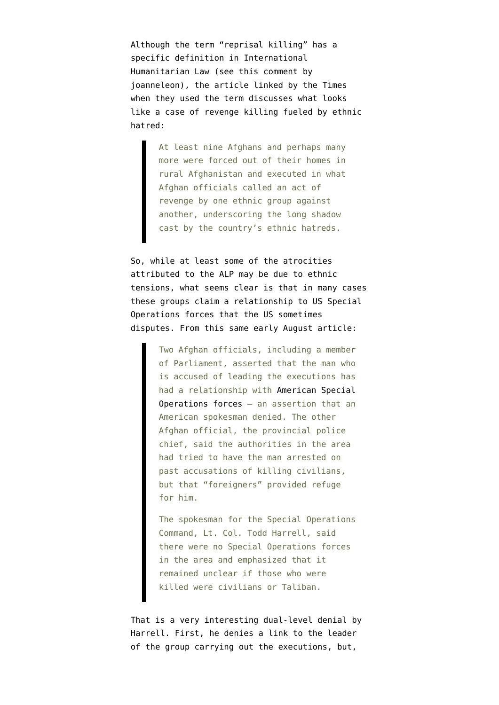Although the term "reprisal killing" has a specific definition in International Humanitarian Law (see [this comment by](http://www.emptywheel.net/2012/09/02/special-forces-suspend-training-of-afghans-in-program-petraeus-started/#comment-396547) [joanneleon\)](http://www.emptywheel.net/2012/09/02/special-forces-suspend-training-of-afghans-in-program-petraeus-started/#comment-396547), the [article linked by the Times](http://www.nytimes.com/2012/08/04/world/asia/9-afghans-killed-in-latest-ethnic-violence.html) when they used the term discusses what looks like a case of revenge killing fueled by ethnic hatred:

> At least nine Afghans and perhaps many more were forced out of their homes in rural Afghanistan and executed in what Afghan officials called an act of revenge by one ethnic group against another, underscoring the long shadow cast by the country's ethnic hatreds.

So, while at least some of the atrocities attributed to the ALP may be due to ethnic tensions, what seems clear is that in many cases these groups claim a relationship to US Special Operations forces that the US sometimes disputes. From this same early August article:

> Two Afghan officials, including a member of Parliament, asserted that the man who is accused of leading the executions has had a relationship with [American Special](http://topics.nytimes.com/top/reference/timestopics/organizations/s/united_states_special_operations_command/index.html?inline=nyt-org) [Operations forces](http://topics.nytimes.com/top/reference/timestopics/organizations/s/united_states_special_operations_command/index.html?inline=nyt-org) — an assertion that an American spokesman denied. The other Afghan official, the provincial police chief, said the authorities in the area had tried to have the man arrested on past accusations of killing civilians, but that "foreigners" provided refuge for him.

> The spokesman for the Special Operations Command, Lt. Col. Todd Harrell, said there were no Special Operations forces in the area and emphasized that it remained unclear if those who were killed were civilians or Taliban.

That is a very interesting dual-level denial by Harrell. First, he denies a link to the leader of the group carrying out the executions, but,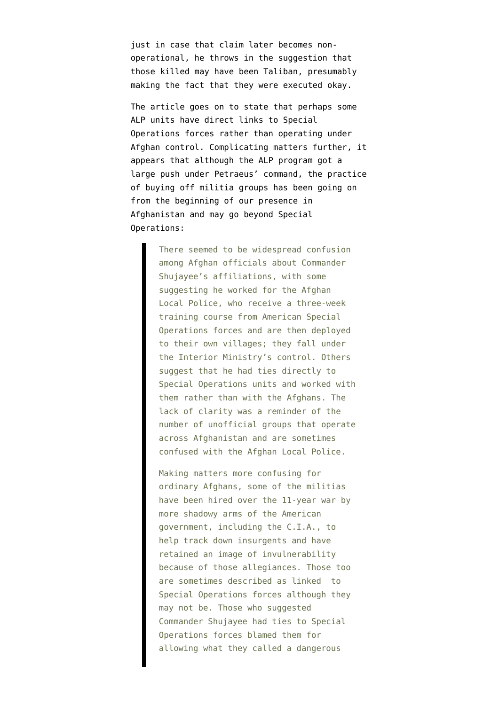just in case that claim later becomes nonoperational, he throws in the suggestion that those killed may have been Taliban, presumably making the fact that they were executed okay.

The article goes on to state that perhaps some ALP units have direct links to Special Operations forces rather than operating under Afghan control. Complicating matters further, it appears that although the ALP program got a large push under Petraeus' command, the practice of buying off militia groups has been going on from the beginning of our presence in Afghanistan and may go beyond Special Operations:

> There seemed to be widespread confusion among Afghan officials about Commander Shujayee's affiliations, with some suggesting he worked for the Afghan Local Police, who receive a three-week training course from American Special Operations forces and are then deployed to their own villages; they fall under the Interior Ministry's control. Others suggest that he had ties directly to Special Operations units and worked with them rather than with the Afghans. The lack of clarity was a reminder of the number of unofficial groups that operate across Afghanistan and are sometimes confused with the Afghan Local Police.

Making matters more confusing for ordinary Afghans, some of the militias have been hired over the 11-year war by more shadowy arms of the American government, including the C.I.A., to help track down insurgents and have retained an image of invulnerability because of those allegiances. Those too are sometimes described as linked to Special Operations forces although they may not be. Those who suggested Commander Shujayee had ties to Special Operations forces blamed them for allowing what they called a dangerous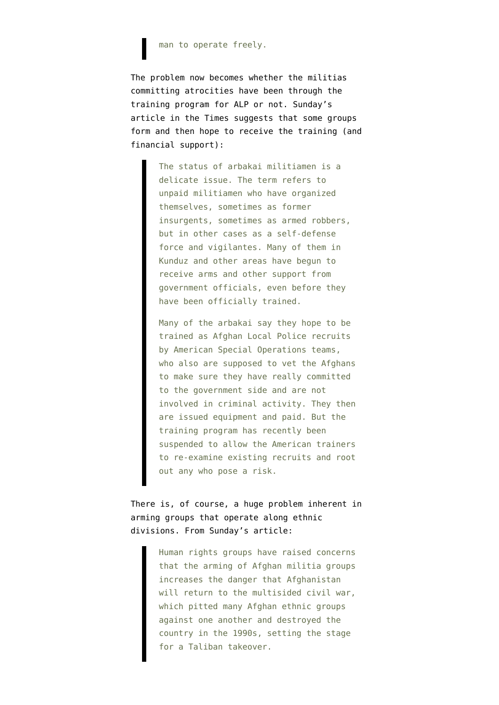## man to operate freely.

The problem now becomes whether the militias committing atrocities have been through the training program for ALP or not. Sunday's article in the Times suggests that some groups form and then hope to receive the training (and financial support):

> The status of arbakai militiamen is a delicate issue. The term refers to unpaid militiamen who have organized themselves, sometimes as former insurgents, sometimes as armed robbers, but in other cases as a self-defense force and vigilantes. Many of them in Kunduz and other areas have begun to receive arms and other support from government officials, even before they have been officially trained.

Many of the arbakai say they hope to be trained as Afghan Local Police recruits by American Special Operations teams, who also are supposed to yet the Afghans to make sure they have really committed to the government side and are not involved in criminal activity. They then are issued equipment and paid. But the training program has recently been suspended to allow the American trainers to re-examine existing recruits and root out any who pose a risk.

## There is, of course, a huge problem inherent in arming groups that operate along ethnic divisions. From Sunday's article:

Human rights groups have raised concerns that the arming of Afghan militia groups increases the danger that Afghanistan will return to the multisided civil war, which pitted many Afghan ethnic groups against one another and destroyed the country in the 1990s, setting the stage for a Taliban takeover.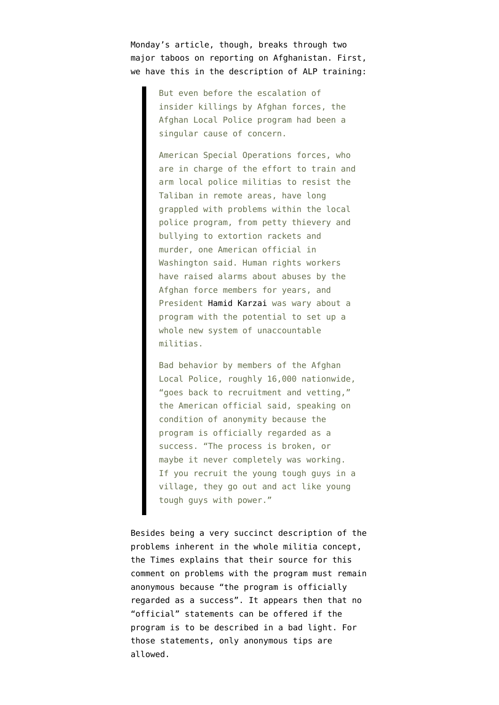Monday's article, though, breaks through two major taboos on reporting on Afghanistan. First, we have this in the description of ALP training:

> But even before the escalation of insider killings by Afghan forces, the Afghan Local Police program had been a singular cause of concern.

American Special Operations forces, who are in charge of the effort to train and arm local police militias to resist the Taliban in remote areas, have long grappled with problems within the local police program, from petty thievery and bullying to extortion rackets and murder, one American official in Washington said. Human rights workers have raised alarms about abuses by the Afghan force members for years, and President [Hamid Karzai](http://topics.nytimes.com/top/reference/timestopics/people/k/hamid_karzai/index.html?inline=nyt-per) was wary about a program with the potential to set up a whole new system of unaccountable militias.

Bad behavior by members of the Afghan Local Police, roughly 16,000 nationwide, "goes back to recruitment and vetting," the American official said, speaking on condition of anonymity because the program is officially regarded as a success. "The process is broken, or maybe it never completely was working. If you recruit the young tough guys in a village, they go out and act like young tough guys with power."

Besides being a very succinct description of the problems inherent in the whole militia concept, the Times explains that their source for this comment on problems with the program must remain anonymous because "the program is officially regarded as a success". It appears then that no "official" statements can be offered if the program is to be described in a bad light. For those statements, only anonymous tips are allowed.